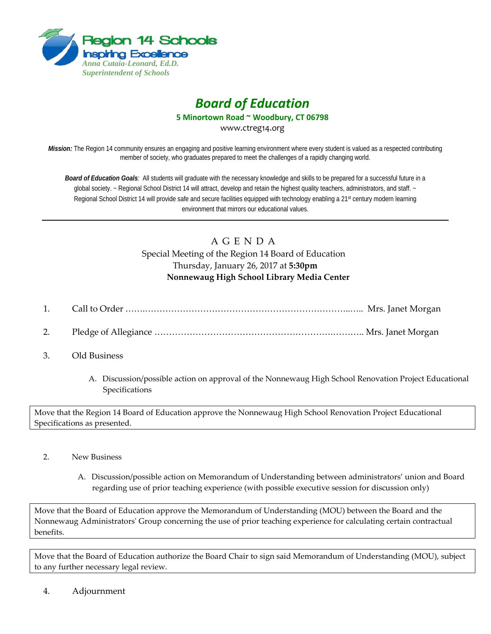

## *Board of Education*

**5 Minortown Road ~ Woodbury, CT 06798**

www.ctreg14.org

*Mission:* The Region 14 community ensures an engaging and positive learning environment where every student is valued as a respected contributing member of society, who graduates prepared to meet the challenges of a rapidly changing world.

*Board of Education Goals:* All students will graduate with the necessary knowledge and skills to be prepared for a successful future in a global society. ~ Regional School District 14 will attract, develop and retain the highest quality teachers, administrators, and staff. ~ Regional School District 14 will provide safe and secure facilities equipped with technology enabling a 21<sup>st</sup> century modern learning environment that mirrors our educational values.

## A G E N D A Special Meeting of the Region 14 Board of Education Thursday, January 26, 2017 at **5:30pm Nonnewaug High School Library Media Center**

- 1. Call to Order …….……………………………………………………………..….. Mrs. Janet Morgan
- 2. Pledge of Allegiance …………………………………………………….……….. Mrs. Janet Morgan
- 3. Old Business
	- A. Discussion/possible action on approval of the Nonnewaug High School Renovation Project Educational Specifications

Move that the Region 14 Board of Education approve the Nonnewaug High School Renovation Project Educational Specifications as presented.

- 2. New Business
	- A. Discussion/possible action on Memorandum of Understanding between administrators' union and Board regarding use of prior teaching experience (with possible executive session for discussion only)

Move that the Board of Education approve the Memorandum of Understanding (MOU) between the Board and the Nonnewaug Administrators' Group concerning the use of prior teaching experience for calculating certain contractual benefits.

Move that the Board of Education authorize the Board Chair to sign said Memorandum of Understanding (MOU), subject to any further necessary legal review.

4. Adjournment